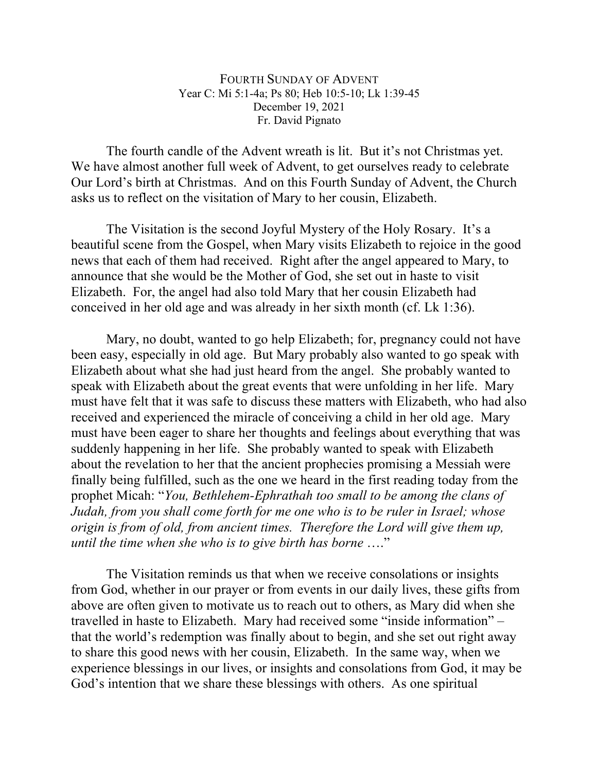## FOURTH SUNDAY OF ADVENT Year C: Mi 5:1-4a; Ps 80; Heb 10:5-10; Lk 1:39-45 December 19, 2021 Fr. David Pignato

The fourth candle of the Advent wreath is lit. But it's not Christmas yet. We have almost another full week of Advent, to get ourselves ready to celebrate Our Lord's birth at Christmas. And on this Fourth Sunday of Advent, the Church asks us to reflect on the visitation of Mary to her cousin, Elizabeth.

The Visitation is the second Joyful Mystery of the Holy Rosary. It's a beautiful scene from the Gospel, when Mary visits Elizabeth to rejoice in the good news that each of them had received. Right after the angel appeared to Mary, to announce that she would be the Mother of God, she set out in haste to visit Elizabeth. For, the angel had also told Mary that her cousin Elizabeth had conceived in her old age and was already in her sixth month (cf. Lk 1:36).

Mary, no doubt, wanted to go help Elizabeth; for, pregnancy could not have been easy, especially in old age. But Mary probably also wanted to go speak with Elizabeth about what she had just heard from the angel. She probably wanted to speak with Elizabeth about the great events that were unfolding in her life. Mary must have felt that it was safe to discuss these matters with Elizabeth, who had also received and experienced the miracle of conceiving a child in her old age. Mary must have been eager to share her thoughts and feelings about everything that was suddenly happening in her life. She probably wanted to speak with Elizabeth about the revelation to her that the ancient prophecies promising a Messiah were finally being fulfilled, such as the one we heard in the first reading today from the prophet Micah: "*You, Bethlehem-Ephrathah too small to be among the clans of Judah, from you shall come forth for me one who is to be ruler in Israel; whose origin is from of old, from ancient times. Therefore the Lord will give them up, until the time when she who is to give birth has borne* …."

The Visitation reminds us that when we receive consolations or insights from God, whether in our prayer or from events in our daily lives, these gifts from above are often given to motivate us to reach out to others, as Mary did when she travelled in haste to Elizabeth. Mary had received some "inside information" – that the world's redemption was finally about to begin, and she set out right away to share this good news with her cousin, Elizabeth. In the same way, when we experience blessings in our lives, or insights and consolations from God, it may be God's intention that we share these blessings with others. As one spiritual